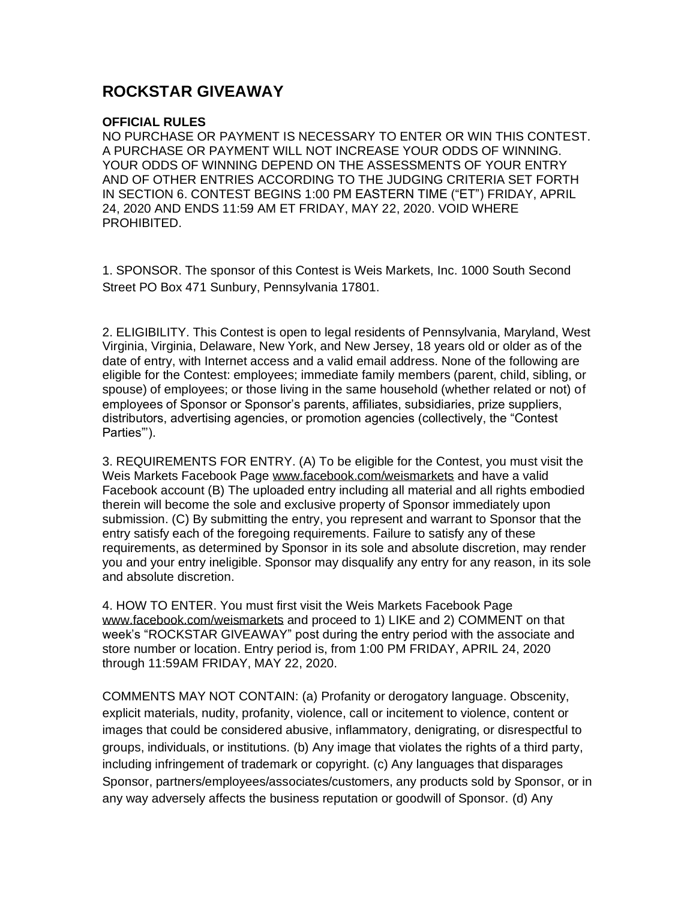## **ROCKSTAR GIVEAWAY**

## **OFFICIAL RULES**

 NO PURCHASE OR PAYMENT IS NECESSARY TO ENTER OR WIN THIS CONTEST. A PURCHASE OR PAYMENT WILL NOT INCREASE YOUR ODDS OF WINNING. YOUR ODDS OF WINNING DEPEND ON THE ASSESSMENTS OF YOUR ENTRY AND OF OTHER ENTRIES ACCORDING TO THE JUDGING CRITERIA SET FORTH IN SECTION 6. CONTEST BEGINS 1:00 PM EASTERN TIME ("ET") FRIDAY, APRIL 24, 2020 AND ENDS 11:59 AM ET FRIDAY, MAY 22, 2020. VOID WHERE PROHIBITED.

 1. SPONSOR. The sponsor of this Contest is Weis Markets, Inc. 1000 South Second Street PO Box 471 Sunbury, Pennsylvania 17801.

 2. ELIGIBILITY. This Contest is open to legal residents of Pennsylvania, Maryland, West Virginia, Virginia, Delaware, New York, and New Jersey, 18 years old or older as of the date of entry, with Internet access and a valid email address. None of the following are eligible for the Contest: employees; immediate family members (parent, child, sibling, or spouse) of employees; or those living in the same household (whether related or not) of employees of Sponsor or Sponsor's parents, affiliates, subsidiaries, prize suppliers, distributors, advertising agencies, or promotion agencies (collectively, the "Contest Parties"').

 3. REQUIREMENTS FOR ENTRY. (A) To be eligible for the Contest, you must visit the Weis Markets Facebook Page [www.facebook.com/weismarkets](http://www.facebook.com/weismarkets) and have a valid Facebook account (B) The uploaded entry including all material and all rights embodied therein will become the sole and exclusive property of Sponsor immediately upon submission. (C) By submitting the entry, you represent and warrant to Sponsor that the entry satisfy each of the foregoing requirements. Failure to satisfy any of these requirements, as determined by Sponsor in its sole and absolute discretion, may render you and your entry ineligible. Sponsor may disqualify any entry for any reason, in its sole and absolute discretion.

 4. HOW TO ENTER. You must first visit the Weis Markets Facebook Page [www.facebook.com/weismarkets](http://www.facebook.com/weismarkets) and proceed to 1) LIKE and 2) COMMENT on that week's "ROCKSTAR GIVEAWAY" post during the entry period with the associate and store number or location. Entry period is, from 1:00 PM FRIDAY, APRIL 24, 2020 through 11:59AM FRIDAY, MAY 22, 2020.

 COMMENTS MAY NOT CONTAIN: (a) Profanity or derogatory language. Obscenity, explicit materials, nudity, profanity, violence, call or incitement to violence, content or images that could be considered abusive, inflammatory, denigrating, or disrespectful to groups, individuals, or institutions. (b) Any image that violates the rights of a third party, including infringement of trademark or copyright. (c) Any languages that disparages Sponsor, partners/employees/associates/customers, any products sold by Sponsor, or in any way adversely affects the business reputation or goodwill of Sponsor. (d) Any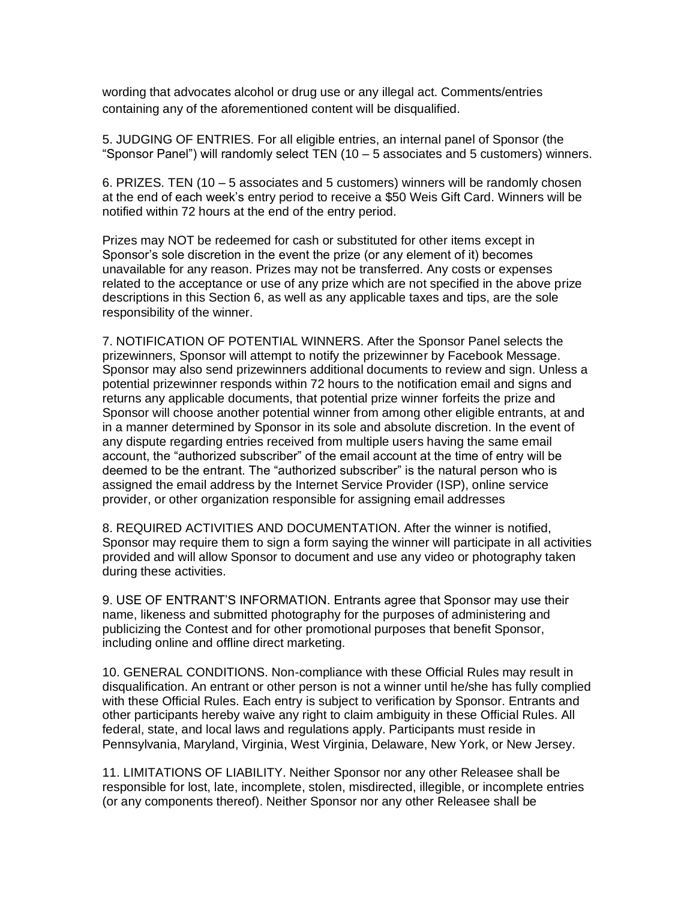wording that advocates alcohol or drug use or any illegal act. Comments/entries containing any of the aforementioned content will be disqualified.

 5. JUDGING OF ENTRIES. For all eligible entries, an internal panel of Sponsor (the "Sponsor Panel") will randomly select TEN (10 – 5 associates and 5 customers) winners.

 6. PRIZES. TEN (10 – 5 associates and 5 customers) winners will be randomly chosen at the end of each week's entry period to receive a \$50 Weis Gift Card. Winners will be notified within 72 hours at the end of the entry period.

 Prizes may NOT be redeemed for cash or substituted for other items except in Sponsor's sole discretion in the event the prize (or any element of it) becomes unavailable for any reason. Prizes may not be transferred. Any costs or expenses related to the acceptance or use of any prize which are not specified in the above prize descriptions in this Section 6, as well as any applicable taxes and tips, are the sole responsibility of the winner.

 7. NOTIFICATION OF POTENTIAL WINNERS. After the Sponsor Panel selects the prizewinners, Sponsor will attempt to notify the prizewinner by Facebook Message. Sponsor may also send prizewinners additional documents to review and sign. Unless a potential prizewinner responds within 72 hours to the notification email and signs and returns any applicable documents, that potential prize winner forfeits the prize and Sponsor will choose another potential winner from among other eligible entrants, at and in a manner determined by Sponsor in its sole and absolute discretion. In the event of any dispute regarding entries received from multiple users having the same email account, the "authorized subscriber" of the email account at the time of entry will be deemed to be the entrant. The "authorized subscriber" is the natural person who is assigned the email address by the Internet Service Provider (ISP), online service provider, or other organization responsible for assigning email addresses

 8. REQUIRED ACTIVITIES AND DOCUMENTATION. After the winner is notified, Sponsor may require them to sign a form saying the winner will participate in all activities provided and will allow Sponsor to document and use any video or photography taken during these activities.

 9. USE OF ENTRANT'S INFORMATION. Entrants agree that Sponsor may use their name, likeness and submitted photography for the purposes of administering and publicizing the Contest and for other promotional purposes that benefit Sponsor, including online and offline direct marketing.

 10. GENERAL CONDITIONS. Non-compliance with these Official Rules may result in disqualification. An entrant or other person is not a winner until he/she has fully complied with these Official Rules. Each entry is subject to verification by Sponsor. Entrants and other participants hereby waive any right to claim ambiguity in these Official Rules. All federal, state, and local laws and regulations apply. Participants must reside in Pennsylvania, Maryland, Virginia, West Virginia, Delaware, New York, or New Jersey.

 11. LIMITATIONS OF LIABILITY. Neither Sponsor nor any other Releasee shall be responsible for lost, late, incomplete, stolen, misdirected, illegible, or incomplete entries (or any components thereof). Neither Sponsor nor any other Releasee shall be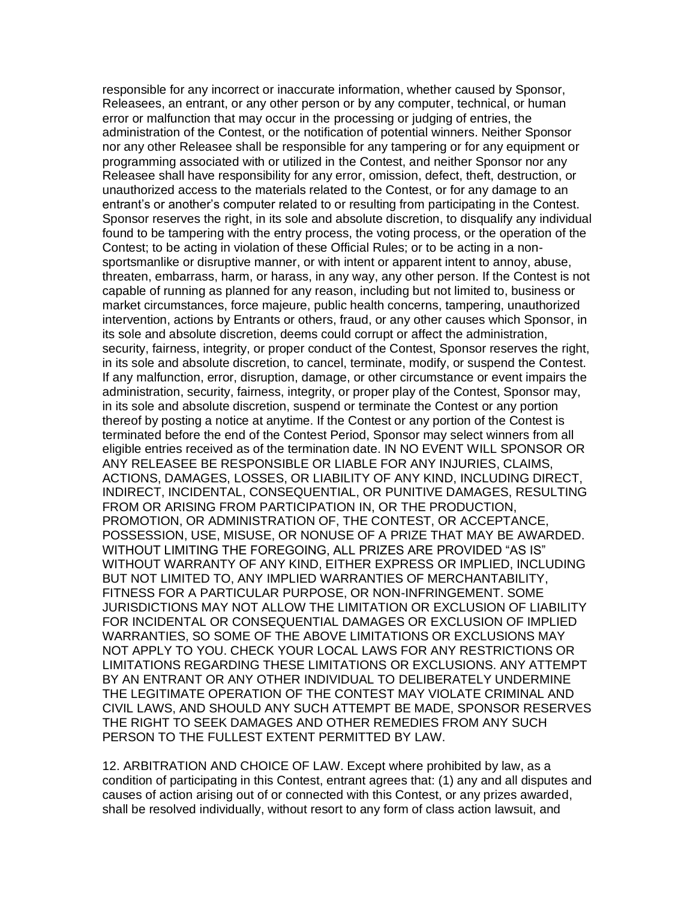responsible for any incorrect or inaccurate information, whether caused by Sponsor, Releasees, an entrant, or any other person or by any computer, technical, or human error or malfunction that may occur in the processing or judging of entries, the administration of the Contest, or the notification of potential winners. Neither Sponsor nor any other Releasee shall be responsible for any tampering or for any equipment or programming associated with or utilized in the Contest, and neither Sponsor nor any Releasee shall have responsibility for any error, omission, defect, theft, destruction, or unauthorized access to the materials related to the Contest, or for any damage to an entrant's or another's computer related to or resulting from participating in the Contest. Sponsor reserves the right, in its sole and absolute discretion, to disqualify any individual found to be tampering with the entry process, the voting process, or the operation of the Contest; to be acting in violation of these Official Rules; or to be acting in a non- sportsmanlike or disruptive manner, or with intent or apparent intent to annoy, abuse, threaten, embarrass, harm, or harass, in any way, any other person. If the Contest is not capable of running as planned for any reason, including but not limited to, business or market circumstances, force majeure, public health concerns, tampering, unauthorized intervention, actions by Entrants or others, fraud, or any other causes which Sponsor, in its sole and absolute discretion, deems could corrupt or affect the administration, security, fairness, integrity, or proper conduct of the Contest, Sponsor reserves the right, in its sole and absolute discretion, to cancel, terminate, modify, or suspend the Contest. If any malfunction, error, disruption, damage, or other circumstance or event impairs the administration, security, fairness, integrity, or proper play of the Contest, Sponsor may, in its sole and absolute discretion, suspend or terminate the Contest or any portion thereof by posting a notice at anytime. If the Contest or any portion of the Contest is terminated before the end of the Contest Period, Sponsor may select winners from all eligible entries received as of the termination date. IN NO EVENT WILL SPONSOR OR ANY RELEASEE BE RESPONSIBLE OR LIABLE FOR ANY INJURIES, CLAIMS, ACTIONS, DAMAGES, LOSSES, OR LIABILITY OF ANY KIND, INCLUDING DIRECT, INDIRECT, INCIDENTAL, CONSEQUENTIAL, OR PUNITIVE DAMAGES, RESULTING FROM OR ARISING FROM PARTICIPATION IN, OR THE PRODUCTION, PROMOTION, OR ADMINISTRATION OF, THE CONTEST, OR ACCEPTANCE, POSSESSION, USE, MISUSE, OR NONUSE OF A PRIZE THAT MAY BE AWARDED. WITHOUT LIMITING THE FOREGOING, ALL PRIZES ARE PROVIDED "AS IS" WITHOUT WARRANTY OF ANY KIND, EITHER EXPRESS OR IMPLIED, INCLUDING BUT NOT LIMITED TO, ANY IMPLIED WARRANTIES OF MERCHANTABILITY, FITNESS FOR A PARTICULAR PURPOSE, OR NON-INFRINGEMENT. SOME JURISDICTIONS MAY NOT ALLOW THE LIMITATION OR EXCLUSION OF LIABILITY FOR INCIDENTAL OR CONSEQUENTIAL DAMAGES OR EXCLUSION OF IMPLIED WARRANTIES, SO SOME OF THE ABOVE LIMITATIONS OR EXCLUSIONS MAY NOT APPLY TO YOU. CHECK YOUR LOCAL LAWS FOR ANY RESTRICTIONS OR LIMITATIONS REGARDING THESE LIMITATIONS OR EXCLUSIONS. ANY ATTEMPT BY AN ENTRANT OR ANY OTHER INDIVIDUAL TO DELIBERATELY UNDERMINE THE LEGITIMATE OPERATION OF THE CONTEST MAY VIOLATE CRIMINAL AND CIVIL LAWS, AND SHOULD ANY SUCH ATTEMPT BE MADE, SPONSOR RESERVES THE RIGHT TO SEEK DAMAGES AND OTHER REMEDIES FROM ANY SUCH PERSON TO THE FULLEST EXTENT PERMITTED BY LAW.

 12. ARBITRATION AND CHOICE OF LAW. Except where prohibited by law, as a condition of participating in this Contest, entrant agrees that: (1) any and all disputes and causes of action arising out of or connected with this Contest, or any prizes awarded, shall be resolved individually, without resort to any form of class action lawsuit, and